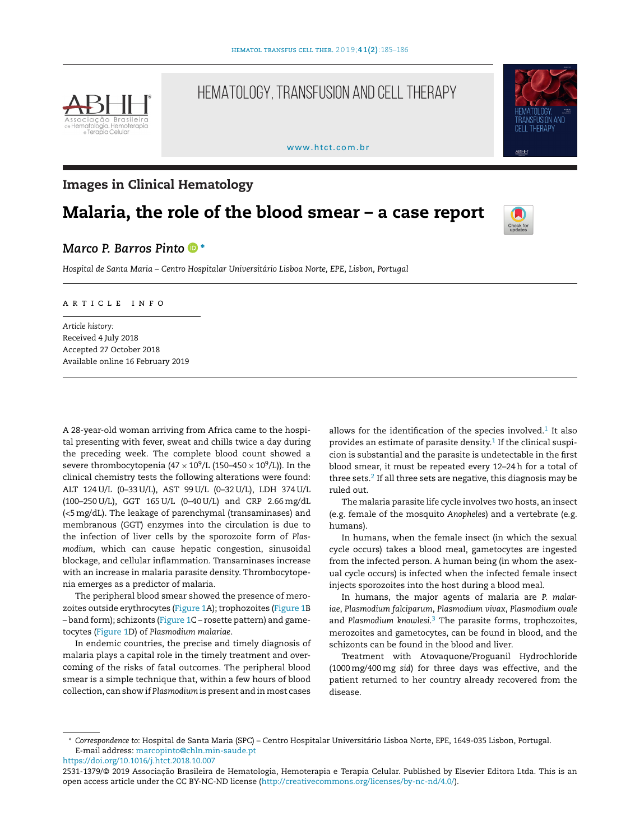

## HEMATOLOGY, TRANSFUSION AND CELL THERAPY

www.htct.com.hr



## **Images in Clinical Hematology**

# **Malaria, the role of the blood smear – a case report**



### *Marco P. Barros Pint[o](https://orcid.org/0000-0002-0756-2298)* **<sup>∗</sup>**

*Hospital de Santa Maria – Centro Hospitalar Universitário Lisboa Norte, EPE, Lisbon, Portugal*

#### a r t i c l e i n f o

*Article history:* Received 4 July 2018 Accepted 27 October 2018 Available online 16 February 2019

A 28-year-old woman arriving from Africa came to the hospital presenting with fever, sweat and chills twice a day during the preceding week. The complete blood count showed a severe thrombocytopenia (47  $\times$  10<sup>9</sup>/L (150–450  $\times$  10<sup>9</sup>/L)). In the clinical chemistry tests the following alterations were found: ALT 124 U/L (0–33 U/L), AST 99 U/L (0–32 U/L), LDH 374 U/L (100–250 U/L), GGT 165 U/L (0–40 U/L) and CRP 2.66mg/dL (<5 mg/dL). The leakage of parenchymal (transaminases) and membranous (GGT) enzymes into the circulation is due to the infection of liver cells by the sporozoite form of *Plasmodium*, which can cause hepatic congestion, sinusoidal blockage, and cellular inflammation. Transaminases increase with an increase in malaria parasite density. Thrombocytopenia emerges as a predictor of malaria.

The peripheral blood smear showed the presence of merozoites outside erythrocytes [\(Figure](#page-1-0) 1A); trophozoites ([Figure](#page-1-0) 1B – band form); schizonts [\(Figure](#page-1-0) 1C – rosette pattern) and gametocytes ([Figure](#page-1-0) 1D) of *Plasmodium malariae*.

In endemic countries, the precise and timely diagnosis of malaria plays a capital role in the timely treatment and overcoming of the risks of fatal outcomes. The peripheral blood smear is a simple technique that, within a few hours of blood collection, can show if *Plasmodium* is present and in most cases

allows for the identification of the species involved. $1$  It also provides an estimate of parasite density.<sup>[1](#page-1-0)</sup> If the clinical suspicion is substantial and the parasite is undetectable in the first blood smear, it must be repeated every 12–24h for a total of three sets. $2$  If all three sets are negative, this diagnosis may be ruled out.

The malaria parasite life cycle involves two hosts, an insect (e.g. female of the mosquito *Anopheles*) and a vertebrate (e.g. humans).

In humans, when the female insect (in which the sexual cycle occurs) takes a blood meal, gametocytes are ingested from the infected person. A human being (in whom the asexual cycle occurs) is infected when the infected female insect injects sporozoites into the host during a blood meal.

In humans, the major agents of malaria are *P. malariae*, *Plasmodium falciparum*, *Plasmodium vivax*, *Plasmodium ovale* and *Plasmodium knowlesi*. [3](#page-1-0) The parasite forms, trophozoites, merozoites and gametocytes, can be found in blood, and the schizonts can be found in the blood and liver.

Treatment with Atovaquone/Proguanil Hydrochloride (1000mg/400mg *sid*) for three days was effective, and the patient returned to her country already recovered from the disease.

<https://doi.org/10.1016/j.htct.2018.10.007>

<sup>∗</sup> *Correspondence to*: Hospital de Santa Maria (SPC) – Centro Hospitalar Universitário Lisboa Norte, EPE, 1649-035 Lisbon, Portugal. E-mail address: [marcopinto@chln.min-saude.pt](mailto:marcopinto@chln.min-saude.pt)

<sup>2531-1379/© 2019</sup> Associação Brasileira de Hematologia, Hemoterapia e Terapia Celular. Published by Elsevier Editora Ltda. This is an open access article under the CC BY-NC-ND license ([http://creativecommons.org/licenses/by-nc-nd/4.0/\)](http://creativecommons.org/licenses/by-nc-nd/4.0/).